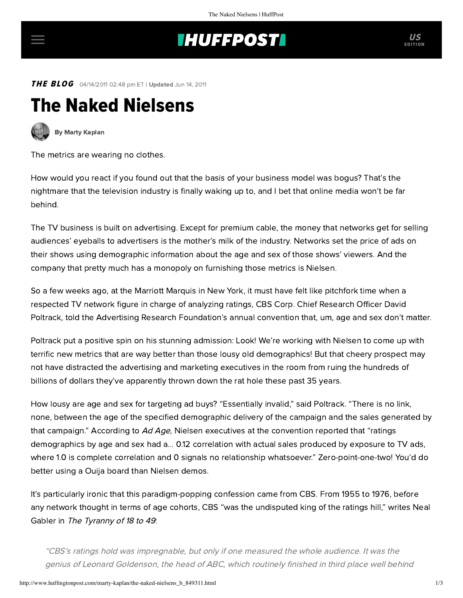## **THUFFPOST**

**THE BLOG** 04/14/2011 02:48 pm ET | Updated Jun 14, 2011

## The Naked Nielsens



[By Marty Kaplan](http://www.huffingtonpost.com/author/marty-kaplan)

The metrics are wearing no clothes.

How would you react if you found out that the basis of your business model was bogus? That's the nightmare that the television industry is finally waking up to, and I bet that online media won't be far behind.

The TV business is built on advertising. Except for premium cable, the money that networks get for selling audiences' eyeballs to advertisers is the mother's milk of the industry. Networks set the price of ads on their shows using demographic information about the age and sex of those shows' viewers. And the company that pretty much has a monopoly on furnishing those metrics is Nielsen.

So a few weeks ago, at the Marriott Marquis in New York, it must have felt like pitchfork time when a respected TV network figure in charge of analyzing ratings, CBS Corp. Chief Research Officer David Poltrack, [told](http://adage.com/article/mediaworks/cbs-viewers-age-sex-matter-marketers/149534/) the Advertising Research Foundation's annual convention that, um, age and sex don't matter.

Poltrack put a positive spin on his stunning admission: Look! We're working with Nielsen to come up with terrific new metrics that are way better than those lousy old demographics! But that cheery prospect may not have distracted the advertising and marketing executives in the room from ruing the hundreds of billions of dollars they've apparently thrown down the rat hole these past 35 years.

How lousy are age and sex for targeting ad buys? "Essentially invalid," said Poltrack. "There is no link, none, between the age of the specified demographic delivery of the campaign and the sales generated by that campaign." According to Ad [Age](http://adage.com/article/mediaworks/cbs-viewers-age-sex-matter-marketers/149534/), Nielsen executives at the convention reported that "ratings demographics by age and sex had a... 0.12 correlation with actual sales produced by exposure to TV ads, where 1.0 is complete correlation and 0 signals no relationship whatsoever." Zero-point-one-two! You'd do better using a Ouija board than Nielsen demos.

It's particularly ironic that this paradigm-popping confession came from CBS. From 1955 to 1976, before any network thought in terms of age cohorts, CBS "was the undisputed king of the ratings hill," writes Neal Gabler in [The Tyranny of 18 to 49](http://www.learcenter.org/pdf/18to49.pdf):

"CBS's ratings hold was impregnable, but only if one measured the whole audience. It was the genius of Leonard Goldenson, the head of ABC, which routinely finished in third place well behind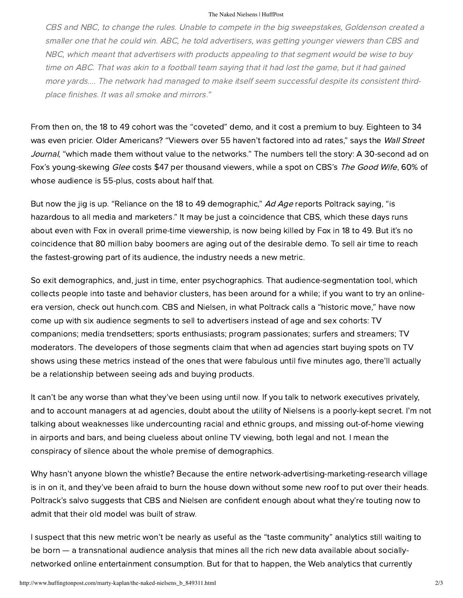## The Naked Nielsens | HuffPost

CBS and NBC, to change the rules. Unable to compete in the big sweepstakes, Goldenson created a smaller one that he could win. ABC, he told advertisers, was getting younger viewers than CBS and NBC, which meant that advertisers with products appealing to that segment would be wise to buy time on ABC. That was akin to a football team saying that it had lost the game, but it had gained more yards.... The network had managed to make itself seem successful despite its consistent thirdplace finishes. It was all smoke and mirrors."

From then on, the 18 to 49 cohort was the "coveted" demo, and it cost a premium to buy. Eighteen to 34 [was even pricier. Older Americans? "Viewers over 55 haven't factored into ad rates,"](http://online.wsj.com/article/SB10001424052748703559604576174983272665032.html) says the Wall Street Journal, "which made them without value to the networks." The numbers tell the story: A 30-second ad on Fox's young-skewing *Glee* costs \$47 per thousand viewers, while a spot on CBS's The Good Wife, 60% of whose audience is 55-plus, costs about half that.

But now the jig is up. "Reliance on the 18 to 49 demographic," Ad Age reports Poltrack saying, "is hazardous to all media and marketers." It may be just a coincidence that CBS, which these days runs about even with Fox in overall prime-time viewership, is now being killed by Fox in 18 to 49. But it's no coincidence that 80 million baby boomers are aging out of the desirable demo. To sell air time to reach the fastest-growing part of its audience, the industry needs a new metric.

So exit demographics, and, just in time, enter psychographics. That audience-segmentation tool, which collects people into taste and behavior clusters, has been around for a while; if you want to try an onlineera version, check out [hunch.com.](http://hunch.com/) CBS and Nielsen, in what Poltrack calls a "historic move," have now come up with six audience segments to sell to advertisers instead of age and sex cohorts: TV companions; media trendsetters; sports enthusiasts; program passionates; surfers and streamers; TV moderators. The developers of those segments claim that when ad agencies start buying spots on TV shows using these metrics instead of the ones that were fabulous until five minutes ago, there'll actually be a relationship between seeing ads and buying products.

It can't be any worse than what they've been using until now. If you talk to network executives privately, and to account managers at ad agencies, doubt about the utility of Nielsens is a poorly-kept secret. I'm not talking about weaknesses like undercounting racial and ethnic groups, and missing out-of-home viewing in airports and bars, and being clueless about online TV viewing, both legal and not. I mean the conspiracy of silence about the whole premise of demographics.

Why hasn't anyone blown the whistle? Because the entire network-advertising-marketing-research village is in on it, and they've been afraid to burn the house down without some new roof to put over their heads. Poltrack's salvo suggests that CBS and Nielsen are confident enough about what they're touting now to admit that their old model was built of straw.

I suspect that this new metric won't be nearly as useful as the "taste community" analytics still waiting to be born — a transnational audience analysis that mines all the rich new data available about sociallynetworked online entertainment consumption. But for that to happen, the Web analytics that currently